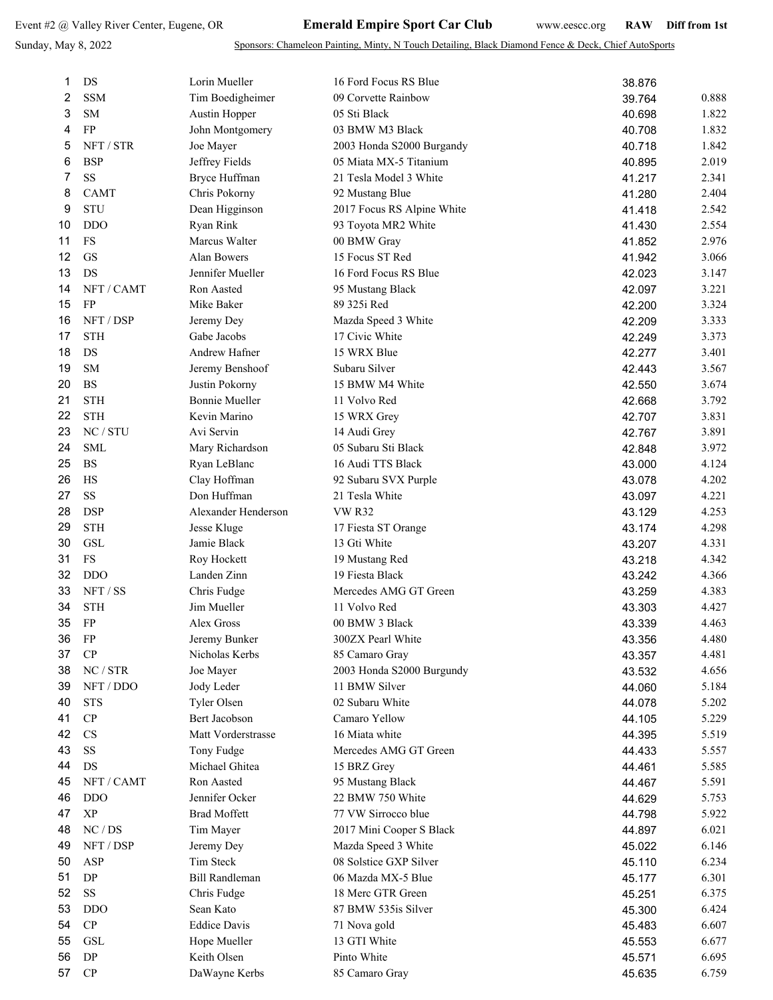## Sunday, May 8, 2022

Sponsors: Chameleon Painting, Minty, N Touch Detailing, Black Diamond Fence & Deck, Chief AutoSports

| 1  | DS                                | Lorin Mueller         | 16 Ford Focus RS Blue           | 38.876 |       |
|----|-----------------------------------|-----------------------|---------------------------------|--------|-------|
| 2  | <b>SSM</b>                        | Tim Boedigheimer      | 09 Corvette Rainbow             | 39.764 | 0.888 |
| 3  | <b>SM</b>                         | Austin Hopper         | 05 Sti Black                    | 40.698 | 1.822 |
| 4  | FP                                | John Montgomery       | 03 BMW M3 Black                 | 40.708 | 1.832 |
| 5  | NFT / STR                         | Joe Mayer             | 2003 Honda S2000 Burgandy       | 40.718 | 1.842 |
| 6  | <b>BSP</b>                        | Jeffrey Fields        | 05 Miata MX-5 Titanium          | 40.895 | 2.019 |
| 7  | SS                                | Bryce Huffman         | 21 Tesla Model 3 White          | 41.217 | 2.341 |
| 8  | <b>CAMT</b>                       | Chris Pokorny         | 92 Mustang Blue                 | 41.280 | 2.404 |
| 9  | <b>STU</b>                        | Dean Higginson        | 2017 Focus RS Alpine White      | 41.418 | 2.542 |
| 10 | <b>DDO</b>                        | Ryan Rink             | 93 Toyota MR2 White             | 41.430 | 2.554 |
| 11 | FS                                | Marcus Walter         | 00 BMW Gray                     | 41.852 | 2.976 |
| 12 | GS                                | <b>Alan Bowers</b>    | 15 Focus ST Red                 |        | 3.066 |
| 13 | DS                                | Jennifer Mueller      | 16 Ford Focus RS Blue           | 41.942 | 3.147 |
| 14 | NFT / CAMT                        | Ron Aasted            |                                 | 42.023 | 3.221 |
| 15 | FP                                | Mike Baker            | 95 Mustang Black<br>89 325i Red | 42.097 |       |
|    | NFT / DSP                         |                       |                                 | 42.200 | 3.324 |
| 16 |                                   | Jeremy Dey            | Mazda Speed 3 White             | 42.209 | 3.333 |
| 17 | <b>STH</b>                        | Gabe Jacobs           | 17 Civic White                  | 42.249 | 3.373 |
| 18 | DS                                | <b>Andrew Hafner</b>  | 15 WRX Blue                     | 42.277 | 3.401 |
| 19 | SM                                | Jeremy Benshoof       | Subaru Silver                   | 42.443 | 3.567 |
| 20 | <b>BS</b>                         | Justin Pokorny        | 15 BMW M4 White                 | 42.550 | 3.674 |
| 21 | <b>STH</b>                        | <b>Bonnie Mueller</b> | 11 Volvo Red                    | 42.668 | 3.792 |
| 22 | <b>STH</b>                        | Kevin Marino          | 15 WRX Grey                     | 42.707 | 3.831 |
| 23 | NC / STU                          | Avi Servin            | 14 Audi Grey                    | 42.767 | 3.891 |
| 24 | <b>SML</b>                        | Mary Richardson       | 05 Subaru Sti Black             | 42.848 | 3.972 |
| 25 | <b>BS</b>                         | Ryan LeBlanc          | 16 Audi TTS Black               | 43.000 | 4.124 |
| 26 | HS                                | Clay Hoffman          | 92 Subaru SVX Purple            | 43.078 | 4.202 |
| 27 | <b>SS</b>                         | Don Huffman           | 21 Tesla White                  | 43.097 | 4.221 |
| 28 | <b>DSP</b>                        | Alexander Henderson   | <b>VW R32</b>                   | 43.129 | 4.253 |
| 29 | <b>STH</b>                        | Jesse Kluge           | 17 Fiesta ST Orange             | 43.174 | 4.298 |
| 30 | GSL                               | Jamie Black           | 13 Gti White                    | 43.207 | 4.331 |
| 31 | FS                                | Roy Hockett           | 19 Mustang Red                  | 43.218 | 4.342 |
| 32 | <b>DDO</b>                        | Landen Zinn           | 19 Fiesta Black                 | 43.242 | 4.366 |
| 33 | NFT/SS                            | Chris Fudge           | Mercedes AMG GT Green           | 43.259 | 4.383 |
| 34 | <b>STH</b>                        | Jim Mueller           | 11 Volvo Red                    | 43.303 | 4.427 |
| 35 | FP                                | Alex Gross            | 00 BMW 3 Black                  | 43.339 | 4.463 |
| 36 | ${\rm FP}$                        | Jeremy Bunker         | 300ZX Pearl White               | 43.356 | 4.480 |
| 37 | CP                                | Nicholas Kerbs        | 85 Camaro Gray                  | 43.357 | 4.481 |
| 38 | $\rm NC$ / $\rm STR$              | Joe Mayer             | 2003 Honda S2000 Burgundy       | 43.532 | 4.656 |
| 39 | NFT / DDO                         | Jody Leder            | 11 BMW Silver                   | 44.060 | 5.184 |
| 40 | <b>STS</b>                        | Tyler Olsen           | 02 Subaru White                 | 44.078 | 5.202 |
| 41 | ${\bf CP}$                        | Bert Jacobson         | Camaro Yellow                   | 44.105 | 5.229 |
| 42 | <b>CS</b>                         | Matt Vorderstrasse    | 16 Miata white                  | 44.395 | 5.519 |
| 43 | SS                                | Tony Fudge            | Mercedes AMG GT Green           | 44.433 | 5.557 |
| 44 | DS                                | Michael Ghitea        | 15 BRZ Grey                     | 44.461 | 5.585 |
| 45 | NFT / CAMT                        | Ron Aasted            | 95 Mustang Black                | 44.467 | 5.591 |
| 46 | <b>DDO</b>                        | Jennifer Ocker        | 22 BMW 750 White                | 44.629 | 5.753 |
| 47 | $\ensuremath{\mathbf{XP}}\xspace$ | <b>Brad Moffett</b>   | 77 VW Sirrocco blue             | 44.798 | 5.922 |
| 48 | NC/DS                             | Tim Mayer             | 2017 Mini Cooper S Black        | 44.897 | 6.021 |
| 49 | NFT / DSP                         | Jeremy Dey            | Mazda Speed 3 White             | 45.022 | 6.146 |
| 50 | ASP                               | Tim Steck             | 08 Solstice GXP Silver          | 45.110 | 6.234 |
| 51 | ${\rm DP}$                        | <b>Bill Randleman</b> | 06 Mazda MX-5 Blue              | 45.177 | 6.301 |
| 52 | $\rm SS$                          | Chris Fudge           | 18 Merc GTR Green               | 45.251 | 6.375 |
| 53 | <b>DDO</b>                        | Sean Kato             | 87 BMW 535is Silver             | 45.300 | 6.424 |
| 54 | ${\bf CP}$                        | <b>Eddice Davis</b>   | 71 Nova gold                    | 45.483 | 6.607 |
| 55 | <b>GSL</b>                        | Hope Mueller          | 13 GTI White                    | 45.553 | 6.677 |
| 56 | ${\rm DP}$                        | Keith Olsen           | Pinto White                     | 45.571 | 6.695 |
| 57 | ${\bf CP}$                        | DaWayne Kerbs         | 85 Camaro Gray                  | 45.635 | 6.759 |